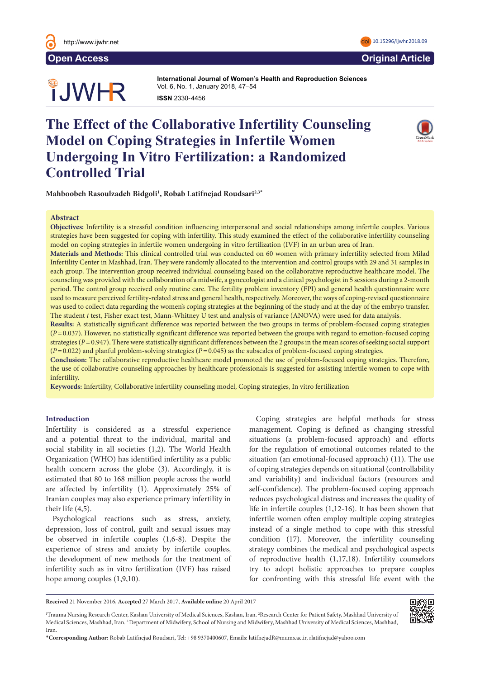

# **OUWHR**

**International Journal of Women's Health and Reproduction Sciences International Journal of Women's Health and Reproduction Sciences**  Vol. 6, No. 1, January 2018, 47–54 **ISSN** 2330- 4456 **ISSN** 2330- 4456

## **The Effect of the Collaborative Infertility Counseling Model on Coping Strategies in Infertile Women Undergoing In Vitro Fertilization: a Randomized Controlled Trial**



Mahboobeh Rasoulzadeh Bidgoli<sup>1</sup>, Robab Latifnejad Roudsari<sup>2,3</sup>\*

#### **Abstract**  $\Delta$ bstract $\Delta$

Objectives: Infertility is a stressful condition influencing interpersonal and social relationships among infertile couples. Various strategies have been suggested for coping with infertility. This study examined the effect of the collaborative infertility counseling model on coping strategies in infertile women undergoing in vitro fertilization (IVF) in an urban area of Iran.

being observed as sexual abuse and rape, all kinds of violence and subsequent gynecologic and obstetrics problems with physiological

**Materials and Methods:** This clinical controlled trial was conducted on 60 women with primary infertility selected from Milad Infertility Center in Mashhad, Iran. They were randomly allocated to the intervention and control groups with 29 and 31 samples in each group. The intervention group received individual counseling based on the collaborative reproductive healthcare model. The counseling was provided with the collaboration of a midwife, a gynecologist and a clinical psychologist in 5 sessions during a 2-month period. The control group received only routine care. The fertility problem inventory (FPI) and general health questionnaire were period. The control group received only routine care. The fertility problem inventory (FPI) used to measure perceived fertility-related stress and general health, respectively. Moreover, the ways of coping-revised questionnaire was used to collect data regarding the women's coping strategies at the beginning of the study and at the day of the embryo transfer. The student t test, Fisher exact test, Mann-Whitney U test and analysis of variance (ANOVA) were used for data analysis.

Results: A statistically significant difference was reported between the two groups in terms of problem-focused coping strategies (P=0.037). However, no statistically significant difference was reported between the groups with regard to emotion-focused coping (P=0.037). strategies  $(P = 0.947)$ . There were statistically significant differences between the 2 groups in the mean scores of seeking social support  $(P=0.022)$  and planful problem-solving strategies ( $P=0.045$ ) as the subscales of problem-focused coping strategies.

Conclusion: The collaborative reproductive healthcare model promoted the use of problem-focused coping strategies. Therefore, the use of collaborative counseling approaches by healthcare professionals is suggested for assisting infertile women to cope with the use of collaborative counseling approaches by healthcare professionals is suggested for infertility. in distribution of components componing approaches by neutrine promoted the dse of problem focused coping strategies. 1 corresponding to suggested for assisting intertife women to be health continues for 5-10 years even after the finalization of 5-10 years even after the final in the final internal in the final internal internal internal internal internal internal internal internal internal internal in

Keywords: Infertility, Collaborative infertility counseling model, Coping strategies, In vitro fertilization adj<sub>noru</sub>  $\alpha$ , coping strategies, in vitro retundation

### **Introduction**

Infertility is considered as a stressful experience and a potential threat to the individual, marital and and a potential threat to the marriagally married and social stability in all societies (1,2). The World Health Organization (WHO) has identified infertility as a public health concern across the globe (3). Accordingly, it is estimated that 80 to 168 million people across the world are affected by infertility (1). Approximately 25% of Iranian couples may also experience primary infertility in their life  $(4,5)$ .  $\infty$  that  $\frac{1}{2}$  and  $\frac{1}{2}$  of  $\frac{1}{2}$  of  $\frac{1}{2}$  of  $\frac{1}{2}$  of  $\frac{1}{2}$  or  $\frac{1}{2}$  or  $\frac{1}{2}$  or  $\frac{1}{2}$  or  $\frac{1}{2}$  or  $\frac{1}{2}$  or  $\frac{1}{2}$  or  $\frac{1}{2}$  or  $\frac{1}{2}$  or  $\frac{1}{2}$  or  $\frac{1}{2}$  or

Psychological reactions such as stress, anxiety, depression, loss of control, guilt and sexual issues may be observed in infertile couples (1,6-8). Despite the experience of stress and anxiety by infertile couples, the development of new methods for the treatment of infertility such as in vitro fertilization (IVF) has raised hope among couples (1,9,10). **For confronting with this stressful life event with the local dividending author:**  Yasemin Hamlaci, Department of Middle 20055600628, Turkey. Tel: +9055560060628, Turkey. Tel: +90555600628, Turkey. Tel: +9055560060628, T acpression, loss of control, gunt and sexual issues in

Coping strategies are helpful methods for stress management. Coping is defined as changing stressful situations (a problem-focused approach) and efforts for the regulation of emotional outcomes related to the situation (an emotional-focused approach) (11). The use of coping strategies depends on situational (controllability and variability) and individual factors (resources and self-confidence). The problem-focused coping approach reduces psychological distress and increases the quality of life in infertile couples  $(1,12-16)$ . It has been shown that infertile women often employ multiple coping strategies instead of a single method to cope with this stressful condition (17). Moreover, the infertility counseling strategy combines the medical and psychological aspects of reproductive health (1,17,18). Infertility counselors F) has raised try to adopt holistic approaches to prepare couples for the regulation of emotional outcomes relation  $\frac{1}{2}$  the result of  $\frac{1}{2}$  are  $\frac{1}{2}$  and are  $\frac{1}{2}$  and are  $\frac{1}{2}$  and are  $\frac{1}{2}$  and are  $\frac{1}{2}$  and  $\frac{1}{2}$  and  $\frac{1}{2}$  and  $\frac{1}{2}$  and  $\frac{1}{2}$  and  $\frac{1}{2}$  and  $\frac{1}{2}$  and  $\frac{1}{2}$  and



**Received** 21 November 2016, **Accepted** 27 March 2017, **Available online** 20 April 2017

<sup>1</sup> Trauma Nursing Research Center, Kashan University of Medical Sciences, Kashan, Iran. 2 Research Center for Patient Safety, Mashhad University of Medical Sciences, Mashhad, Iran. 3 Department of Midwifery, School of Nursing and Midwifery, Mashhad University of Medical Sciences, Mashhad, Iran.

<sup>\*</sup>**Corresponding Author:** Robab Latifnejad Roudsari, Tel: +98 9370400607, Emails: latifnejadR@mums.ac.ir, rlatifnejad@yahoo.com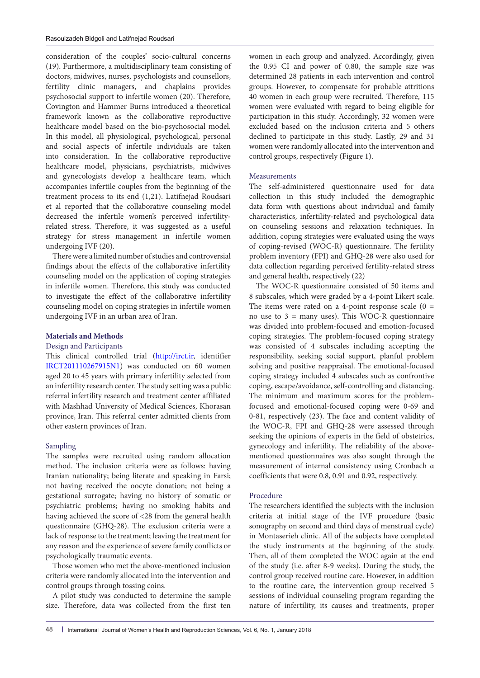consideration of the couples' socio-cultural concerns (19). Furthermore, a multidisciplinary team consisting of doctors, midwives, nurses, psychologists and counsellors, fertility clinic managers, and chaplains provides psychosocial support to infertile women (20). Therefore, Covington and Hammer Burns introduced a theoretical framework known as the collaborative reproductive healthcare model based on the bio-psychosocial model. In this model, all physiological, psychological, personal and social aspects of infertile individuals are taken into consideration. In the collaborative reproductive healthcare model, physicians, psychiatrists, midwives and gynecologists develop a healthcare team, which accompanies infertile couples from the beginning of the treatment process to its end (1,21). Latifnejad Roudsari et al reported that the collaborative counseling model decreased the infertile women's perceived infertilityrelated stress. Therefore, it was suggested as a useful strategy for stress management in infertile women undergoing IVF (20).

There were a limited number of studies and controversial findings about the effects of the collaborative infertility counseling model on the application of coping strategies in infertile women. Therefore, this study was conducted to investigate the effect of the collaborative infertility counseling model on coping strategies in infertile women undergoing IVF in an urban area of Iran.

#### **Materials and Methods**

#### Design and Participants

This clinical controlled trial [\(http://irct.ir,](http://irct.ir/) identifier [IRCT201110267915N1\)](http://en.search.irct.ir/view/7630) was conducted on 60 women aged 20 to 45 years with primary infertility selected from an infertility research center. The study setting was a public referral infertility research and treatment center affiliated with Mashhad University of Medical Sciences, Khorasan province, Iran. This referral center admitted clients from other eastern provinces of Iran.

#### Sampling

The samples were recruited using random allocation method. The inclusion criteria were as follows: having Iranian nationality; being literate and speaking in Farsi; not having received the oocyte donation; not being a gestational surrogate; having no history of somatic or psychiatric problems; having no smoking habits and having achieved the score of <28 from the general health questionnaire (GHQ-28). The exclusion criteria were a lack of response to the treatment; leaving the treatment for any reason and the experience of severe family conflicts or psychologically traumatic events.

Those women who met the above-mentioned inclusion criteria were randomly allocated into the intervention and control groups through tossing coins.

A pilot study was conducted to determine the sample size. Therefore, data was collected from the first ten

women in each group and analyzed. Accordingly, given the 0.95 CI and power of 0.80, the sample size was determined 28 patients in each intervention and control groups. However, to compensate for probable attritions 40 women in each group were recruited. Therefore, 115 women were evaluated with regard to being eligible for participation in this study. Accordingly, 32 women were excluded based on the inclusion criteria and 5 others declined to participate in this study. Lastly, 29 and 31 women were randomly allocated into the intervention and control groups, respectively (Figure 1).

#### Measurements

The self-administered questionnaire used for data collection in this study included the demographic data form with questions about individual and family characteristics, infertility-related and psychological data on counseling sessions and relaxation techniques. In addition, coping strategies were evaluated using the ways of coping-revised (WOC-R) questionnaire. The fertility problem inventory (FPI) and GHQ-28 were also used for data collection regarding perceived fertility-related stress and general health, respectively (22)

The WOC-R questionnaire consisted of 50 items and 8 subscales, which were graded by a 4-point Likert scale. The items were rated on a 4-point response scale  $(0 =$ no use to  $3 =$  many uses). This WOC-R questionnaire was divided into problem-focused and emotion-focused coping strategies. The problem-focused coping strategy was consisted of 4 subscales including accepting the responsibility, seeking social support, planful problem solving and positive reappraisal. The emotional-focused coping strategy included 4 subscales such as confrontive coping, escape/avoidance, self-controlling and distancing. The minimum and maximum scores for the problemfocused and emotional-focused coping were 0-69 and 0-81, respectively (23). The face and content validity of the WOC-R, FPI and GHQ-28 were assessed through seeking the opinions of experts in the field of obstetrics, gynecology and infertility. The reliability of the abovementioned questionnaires was also sought through the measurement of internal consistency using Cronbach α coefficients that were 0.8, 0.91 and 0.92, respectively.

#### Procedure

The researchers identified the subjects with the inclusion criteria at initial stage of the IVF procedure (basic sonography on second and third days of menstrual cycle) in Montaserieh clinic. All of the subjects have completed the study instruments at the beginning of the study. Then, all of them completed the WOC again at the end of the study (i.e. after 8-9 weeks). During the study, the control group received routine care. However, in addition to the routine care, the intervention group received 5 sessions of individual counseling program regarding the nature of infertility, its causes and treatments, proper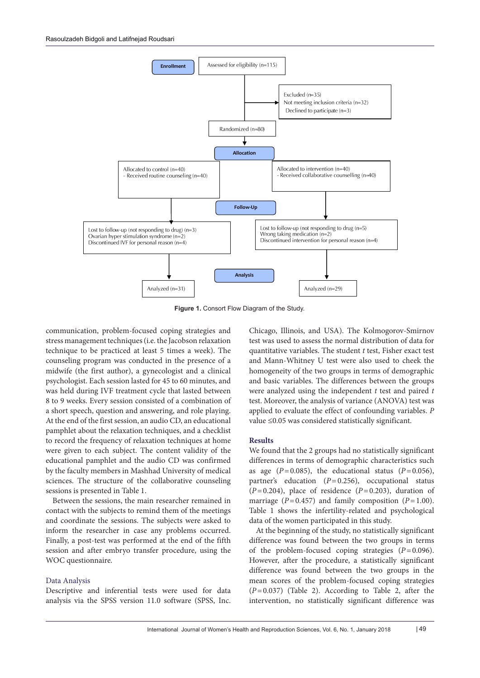

**Figure 1.** Consort Flow Diagram of the Study.

communication, problem-focused coping strategies and stress management techniques (i.e. the Jacobson relaxation technique to be practiced at least 5 times a week). The counseling program was conducted in the presence of a midwife (the first author), a gynecologist and a clinical psychologist. Each session lasted for 45 to 60 minutes, and was held during IVF treatment cycle that lasted between 8 to 9 weeks. Every session consisted of a combination of a short speech, question and answering, and role playing. At the end of the first session, an audio CD, an educational pamphlet about the relaxation techniques, and a checklist to record the frequency of relaxation techniques at home were given to each subject. The content validity of the educational pamphlet and the audio CD was confirmed by the faculty members in Mashhad University of medical sciences. The structure of the collaborative counseling sessions is presented in Table 1.

Between the sessions, the main researcher remained in contact with the subjects to remind them of the meetings and coordinate the sessions. The subjects were asked to inform the researcher in case any problems occurred. Finally, a post-test was performed at the end of the fifth session and after embryo transfer procedure, using the WOC questionnaire.

#### Data Analysis

Descriptive and inferential tests were used for data analysis via the SPSS version 11.0 software (SPSS, Inc. Chicago, Illinois, and USA). The Kolmogorov-Smirnov test was used to assess the normal distribution of data for quantitative variables. The student *t* test, Fisher exact test and Mann-Whitney U test were also used to cheek the homogeneity of the two groups in terms of demographic and basic variables. The differences between the groups were analyzed using the independent *t* test and paired *t* test. Moreover, the analysis of variance (ANOVA) test was applied to evaluate the effect of confounding variables. *P* value ≤0.05 was considered statistically significant.

#### **Results**

We found that the 2 groups had no statistically significant differences in terms of demographic characteristics such as age  $(P=0.085)$ , the educational status  $(P=0.056)$ , partner's education (*P*=0.256), occupational status  $(P=0.204)$ , place of residence  $(P=0.203)$ , duration of marriage ( $P=0.457$ ) and family composition ( $P=1.00$ ). Table 1 shows the infertility-related and psychological data of the women participated in this study.

At the beginning of the study, no statistically significant difference was found between the two groups in terms of the problem-focused coping strategies (*P*=0.096). However, after the procedure, a statistically significant difference was found between the two groups in the mean scores of the problem-focused coping strategies (*P*=0.037) (Table 2). According to Table 2, after the intervention, no statistically significant difference was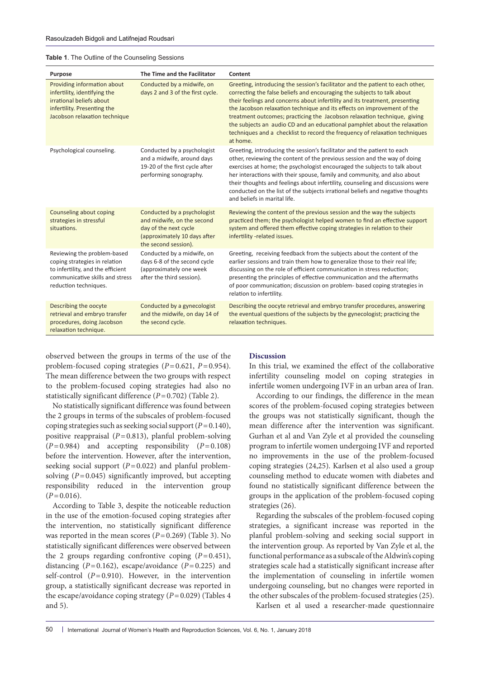| Purpose                                                                                                                                                       | The Time and the Facilitator                                                                                                               | Content                                                                                                                                                                                                                                                                                                                                                                                                                                                                                                                                                                 |
|---------------------------------------------------------------------------------------------------------------------------------------------------------------|--------------------------------------------------------------------------------------------------------------------------------------------|-------------------------------------------------------------------------------------------------------------------------------------------------------------------------------------------------------------------------------------------------------------------------------------------------------------------------------------------------------------------------------------------------------------------------------------------------------------------------------------------------------------------------------------------------------------------------|
| Providing information about<br>infertility, identifying the<br>irrational beliefs about<br>infertility. Presenting the<br>Jacobson relaxation technique       | Conducted by a midwife, on<br>days 2 and 3 of the first cycle.                                                                             | Greeting, introducing the session's facilitator and the patient to each other,<br>correcting the false beliefs and encouraging the subjects to talk about<br>their feelings and concerns about infertility and its treatment, presenting<br>the Jacobson relaxation technique and its effects on improvement of the<br>treatment outcomes; practicing the Jacobson relaxation technique, giving<br>the subjects an audio CD and an educational pamphlet about the relaxation<br>techniques and a checklist to record the frequency of relaxation techniques<br>at home. |
| Psychological counseling.                                                                                                                                     | Conducted by a psychologist<br>and a midwife, around days<br>19-20 of the first cycle after<br>performing sonography.                      | Greeting, introducing the session's facilitator and the patient to each<br>other, reviewing the content of the previous session and the way of doing<br>exercises at home; the psychologist encouraged the subjects to talk about<br>her interactions with their spouse, family and community, and also about<br>their thoughts and feelings about infertility, counseling and discussions were<br>conducted on the list of the subjects irrational beliefs and negative thoughts<br>and beliefs in marital life.                                                       |
| Counseling about coping<br>strategies in stressful<br>situations.                                                                                             | Conducted by a psychologist<br>and midwife, on the second<br>day of the next cycle<br>(approximately 10 days after<br>the second session). | Reviewing the content of the previous session and the way the subjects<br>practiced them; the psychologist helped women to find an effective support<br>system and offered them effective coping strategies in relation to their<br>infertility -related issues.                                                                                                                                                                                                                                                                                                        |
| Reviewing the problem-based<br>coping strategies in relation<br>to infertility, and the efficient<br>communicative skills and stress<br>reduction techniques. | Conducted by a midwife, on<br>days 6-8 of the second cycle<br>(approximately one week<br>after the third session).                         | Greeting, receiving feedback from the subjects about the content of the<br>earlier sessions and train them how to generalize those to their real life;<br>discussing on the role of efficient communication in stress reduction;<br>presenting the principles of effective communication and the aftermaths<br>of poor communication; discussion on problem- based coping strategies in<br>relation to infertility.                                                                                                                                                     |
| Describing the oocyte<br>retrieval and embryo transfer<br>procedures, doing Jacobson<br>relaxation technique.                                                 | Conducted by a gynecologist<br>and the midwife, on day 14 of<br>the second cycle.                                                          | Describing the oocyte retrieval and embryo transfer procedures, answering<br>the eventual questions of the subjects by the gynecologist; practicing the<br>relaxation techniques.                                                                                                                                                                                                                                                                                                                                                                                       |

observed between the groups in terms of the use of the problem-focused coping strategies (*P*=0.621, *P*=0.954). The mean difference between the two groups with respect to the problem-focused coping strategies had also no statistically significant difference (*P*=0.702) (Table 2).

No statistically significant difference was found between the 2 groups in terms of the subscales of problem-focused coping strategies such as seeking social support (*P*=0.140), positive reappraisal (*P*=0.813), planful problem-solving (*P*=0.984) and accepting responsibility (*P*=0.108) before the intervention. However, after the intervention, seeking social support  $(P=0.022)$  and planful problemsolving  $(P=0.045)$  significantly improved, but accepting responsibility reduced in the intervention group  $(P=0.016)$ .

According to Table 3, despite the noticeable reduction in the use of the emotion-focused coping strategies after the intervention, no statistically significant difference was reported in the mean scores ( $P=0.269$ ) (Table 3). No statistically significant differences were observed between the 2 groups regarding confrontive coping  $(P=0.451)$ , distancing (*P*=0.162), escape/avoidance (*P*=0.225) and self-control  $(P=0.910)$ . However, in the intervention group, a statistically significant decrease was reported in the escape/avoidance coping strategy (*P*=0.029) (Tables 4 and 5).

#### **Discussion**

In this trial, we examined the effect of the collaborative infertility counseling model on coping strategies in infertile women undergoing IVF in an urban area of Iran.

According to our findings, the difference in the mean scores of the problem-focused coping strategies between the groups was not statistically significant, though the mean difference after the intervention was significant. Gurhan et al and Van Zyle et al provided the counseling program to infertile women undergoing IVF and reported no improvements in the use of the problem-focused coping strategies (24,25). Karlsen et al also used a group counseling method to educate women with diabetes and found no statistically significant difference between the groups in the application of the problem-focused coping strategies (26).

Regarding the subscales of the problem-focused coping strategies, a significant increase was reported in the planful problem-solving and seeking social support in the intervention group. As reported by Van Zyle et al, the functional performance as a subscale of the Aldwin's coping strategies scale had a statistically significant increase after the implementation of counseling in infertile women undergoing counseling, but no changes were reported in the other subscales of the problem-focused strategies (25).

Karlsen et al used a researcher-made questionnaire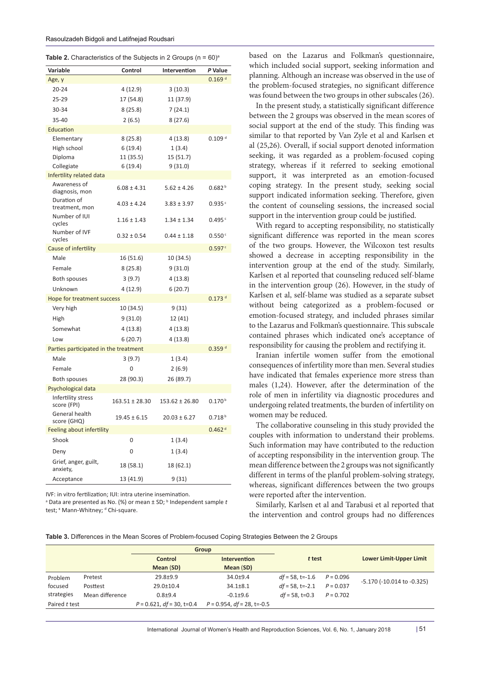|  | <b>Table 2.</b> Characteristics of the Subjects in 2 Groups ( $n = 60$ ) <sup>a</sup> |  |  |  |  |
|--|---------------------------------------------------------------------------------------|--|--|--|--|
|--|---------------------------------------------------------------------------------------|--|--|--|--|

| Variable                              | Control            | Intervention       | P Value              |
|---------------------------------------|--------------------|--------------------|----------------------|
| Age, y                                |                    |                    | 0.169 <sup>d</sup>   |
| $20 - 24$                             | 4 (12.9)           | 3(10.3)            |                      |
| 25-29                                 | 17 (54.8)          | 11 (37.9)          |                      |
| 30-34                                 | 8(25.8)            | 7(24.1)            |                      |
| 35-40                                 | 2(6.5)             | 8(27.6)            |                      |
| Education                             |                    |                    |                      |
| Elementary                            | 8(25.8)            | 4 (13.8)           | 0.109 <sup>d</sup>   |
| High school                           | 6(19.4)            | 1(3.4)             |                      |
| Diploma                               | 11 (35.5)          | 15(51.7)           |                      |
| Collegiate                            | 6(19.4)            | 9(31.0)            |                      |
| Infertility related data              |                    |                    |                      |
| Awareness of<br>diagnosis, mon        | $6.08 \pm 4.31$    | $5.62 \pm 4.26$    | 0.682 <sup>b</sup>   |
| Duration of<br>treatment, mon         | $4.03 \pm 4.24$    | $3.83 \pm 3.97$    | 0.935c               |
| Number of IUI<br>cycles               | $1.16 \pm 1.43$    | $1.34 \pm 1.34$    | 0.495c               |
| Number of IVF<br>cycles               | $0.32 \pm 0.54$    | $0.44 \pm 1.18$    | 0.550c               |
| Cause of infertility                  |                    |                    | 0.597c               |
| Male                                  | 16 (51.6)          | 10 (34.5)          |                      |
| Female                                | 8(25.8)            | 9(31.0)            |                      |
| <b>Both spouses</b>                   | 3(9.7)             | 4(13.8)            |                      |
| Unknown                               | 4(12.9)            | 6(20.7)            |                      |
| Hope for treatment success            |                    |                    | $0.173$ <sup>d</sup> |
| Very high                             | 10 (34.5)          | 9 (31)             |                      |
| High                                  | 9(31.0)            | 12 (41)            |                      |
| Somewhat                              | 4(13.8)            | 4 (13.8)           |                      |
| Low                                   | 6(20.7)            | 4 (13.8)           |                      |
| Parties participated in the treatment |                    |                    | $0.359$ <sup>d</sup> |
| Male                                  | 3(9.7)             | 1(3.4)             |                      |
| Female                                | 0                  | 2(6.9)             |                      |
| Both spouses                          | 28 (90.3)          | 26 (89.7)          |                      |
| Psychological data                    |                    |                    |                      |
| Infertility stress<br>score (FPI)     | $163.51 \pm 28.30$ | $153.62 \pm 26.80$ | 0.170 <sup>b</sup>   |
| General health<br>score (GHQ)         | $19.45 \pm 6.15$   | $20.03 \pm 6.27$   | 0.718 <sup>b</sup>   |
| Feeling about infertility             |                    |                    | 0.462 <sup>d</sup>   |
| Shook                                 | 0                  | 1(3.4)             |                      |
| Deny                                  | 0                  | 1(3.4)             |                      |
| Grief, anger, guilt,<br>anxiety,      | 18 (58.1)          | 18 (62.1)          |                      |
| Acceptance                            | 13 (41.9)          | 9(31)              |                      |

IVF: in vitro fertilization; IUI: intra uterine insemination.

<sup>a</sup> Data are presented as No. (%) or mean ± SD; <sup>b</sup> Independent sample *t* test; <sup>c</sup> Mann-Whitney; <sup>d</sup> Chi-square.

based on the Lazarus and Folkman's questionnaire, which included social support, seeking information and planning. Although an increase was observed in the use of the problem-focused strategies, no significant difference was found between the two groups in other subscales (26).

In the present study, a statistically significant difference between the 2 groups was observed in the mean scores of social support at the end of the study. This finding was similar to that reported by Van Zyle et al and Karlsen et al (25,26). Overall, if social support denoted information seeking, it was regarded as a problem-focused coping strategy, whereas if it referred to seeking emotional support, it was interpreted as an emotion-focused coping strategy. In the present study, seeking social support indicated information seeking. Therefore, given the content of counseling sessions, the increased social support in the intervention group could be justified.

With regard to accepting responsibility, no statistically significant difference was reported in the mean scores of the two groups. However, the Wilcoxon test results showed a decrease in accepting responsibility in the intervention group at the end of the study. Similarly, Karlsen et al reported that counseling reduced self-blame in the intervention group (26). However, in the study of Karlsen et al, self-blame was studied as a separate subset without being categorized as a problem-focused or emotion-focused strategy, and included phrases similar to the Lazarus and Folkman's questionnaire. This subscale contained phrases which indicated one's acceptance of responsibility for causing the problem and rectifying it.

Iranian infertile women suffer from the emotional consequences of infertility more than men. Several studies have indicated that females experience more stress than males (1,24). However, after the determination of the role of men in infertility via diagnostic procedures and undergoing related treatments, the burden of infertility on women may be reduced.

The collaborative counseling in this study provided the couples with information to understand their problems. Such information may have contributed to the reduction of accepting responsibility in the intervention group. The mean difference between the 2 groups was not significantly different in terms of the planful problem-solving strategy, whereas, significant differences between the two groups were reported after the intervention.

Similarly, Karlsen et al and Tarabusi et al reported that the intervention and control groups had no differences

**Table 3.** Differences in the Mean Scores of Problem-focused Coping Strategies Between the 2 Groups

|               | Lower Limit-Upper Limit    |
|---------------|----------------------------|
|               |                            |
| Problem       |                            |
| focused       |                            |
| strategies    |                            |
| Paired t test |                            |
|               | -5.170 (-10.014 to -0.325) |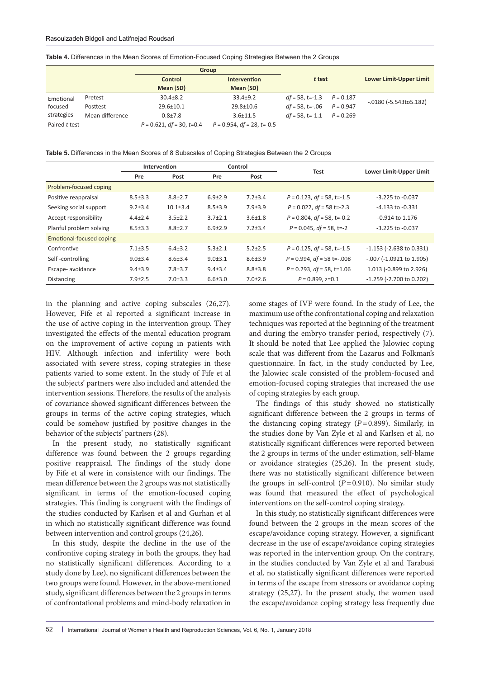|               |                 | Group                        |                               |                                |             |                                   |  |
|---------------|-----------------|------------------------------|-------------------------------|--------------------------------|-------------|-----------------------------------|--|
|               |                 | Control                      | <b>Intervention</b>           | t test                         |             | <b>Lower Limit-Upper Limit</b>    |  |
|               |                 | Mean (SD)                    | Mean (SD)                     |                                |             |                                   |  |
| Emotional     | Pretest         | $30.4 \pm 8.2$               | $33.4 \pm 9.2$                | $df = 58$ , t=-1.3 $P = 0.187$ |             |                                   |  |
| focused       | Posttest        | $29.6 \pm 10.1$              | 29.8±10.6                     | $df = 58$ , t=-.06             | $P = 0.947$ | $-0.0180$ ( $-5.543$ to $5.182$ ) |  |
| strategies    | Mean difference | $0.8 + 7.8$                  | $3.6 \pm 11.5$                | $df = 58$ , t=-1.1 $P = 0.269$ |             |                                   |  |
| Paired t test |                 | $P = 0.621$ , df = 30, t=0.4 | $P = 0.954$ , df = 28, t=-0.5 |                                |             |                                   |  |

| Table 4. Differences in the Mean Scores of Emotion-Focused Coping Strategies Between the 2 Groups |  |
|---------------------------------------------------------------------------------------------------|--|
|---------------------------------------------------------------------------------------------------|--|

**Table 5.** Differences in the Mean Scores of 8 Subscales of Coping Strategies Between the 2 Groups

|                          |               | Intervention   |               | Control<br>Test |                               | Lower Limit-Upper Limit       |  |
|--------------------------|---------------|----------------|---------------|-----------------|-------------------------------|-------------------------------|--|
|                          | Pre           | Post           | Pre           | Post            |                               |                               |  |
| Problem-focused coping   |               |                |               |                 |                               |                               |  |
| Positive reappraisal     | $8.5 \pm 3.3$ | $8.8 \pm 2.7$  | $6.9 + 2.9$   | $7.2 \pm 3.4$   | $P = 0.123$ , df = 58, t=-1.5 | $-3.225$ to $-0.037$          |  |
| Seeking social support   | $9.2 + 3.4$   | $10.1 \pm 3.4$ | $8.5 \pm 3.9$ | $7.9 \pm 3.9$   | $P = 0.022$ , df = 58 t=-2.3  | $-4.133$ to $-0.331$          |  |
| Accept responsibility    | $4.4 \pm 2.4$ | $3.5 \pm 2.2$  | $3.7 + 2.1$   | $3.6 \pm 1.8$   | $P = 0.804$ , df = 58, t=-0.2 | -0.914 to 1.176               |  |
| Planful problem solving  | $8.5 \pm 3.3$ | $8.8 \pm 2.7$  | $6.9 + 2.9$   | $7.2 \pm 3.4$   | $P = 0.045$ , df = 58, t=-2   | $-3.225$ to $-0.037$          |  |
| Emotional-focused coping |               |                |               |                 |                               |                               |  |
| Confrontive              | $7.1 + 3.5$   | $6.4 + 3.2$    | $5.3 + 2.1$   | $5.2 + 2.5$     | $P = 0.125$ , df = 58, t=-1.5 | $-1.153$ ( $-2.638$ to 0.331) |  |
| Self-controlling         | $9.0 \pm 3.4$ | $8.6 \pm 3.4$  | $9.0 \pm 3.1$ | $8.6 \pm 3.9$   | $P = 0.994$ , df = 58 t=-.008 | $-.007$ (-1.0921 to 1.905)    |  |
| Escape- avoidance        | $9.4 \pm 3.9$ | $7.8 + 3.7$    | $9.4 \pm 3.4$ | $8.8 \pm 3.8$   | $P = 0.293$ , df = 58, t=1.06 | 1.013 (-0.899 to 2.926)       |  |
| <b>Distancing</b>        | $7.9 \pm 2.5$ | $7.0 \pm 3.3$  | $6.6 \pm 3.0$ | $7.0 \pm 2.6$   | $P = 0.899$ , $z=0.1$         | $-1.259$ ( $-2.700$ to 0.202) |  |

in the planning and active coping subscales (26,27). However, Fife et al reported a significant increase in the use of active coping in the intervention group. They investigated the effects of the mental education program on the improvement of active coping in patients with HIV. Although infection and infertility were both associated with severe stress, coping strategies in these patients varied to some extent. In the study of Fife et al the subjects' partners were also included and attended the intervention sessions. Therefore, the results of the analysis of covariance showed significant differences between the groups in terms of the active coping strategies, which could be somehow justified by positive changes in the behavior of the subjects' partners (28).

In the present study, no statistically significant difference was found between the 2 groups regarding positive reappraisal. The findings of the study done by Fife et al were in consistence with our findings. The mean difference between the 2 groups was not statistically significant in terms of the emotion-focused coping strategies. This finding is congruent with the findings of the studies conducted by Karlsen et al and Gurhan et al in which no statistically significant difference was found between intervention and control groups (24,26).

In this study, despite the decline in the use of the confrontive coping strategy in both the groups, they had no statistically significant differences. According to a study done by Lee), no significant differences between the two groups were found. However, in the above-mentioned study, significant differences between the 2 groups in terms of confrontational problems and mind-body relaxation in

some stages of IVF were found. In the study of Lee, the maximum use of the confrontational coping and relaxation techniques was reported at the beginning of the treatment and during the embryo transfer period, respectively (7). It should be noted that Lee applied the Jalowiec coping scale that was different from the Lazarus and Folkman's questionnaire. In fact, in the study conducted by Lee, the Jalowiec scale consisted of the problem-focused and emotion-focused coping strategies that increased the use of coping strategies by each group.

The findings of this study showed no statistically significant difference between the 2 groups in terms of the distancing coping strategy  $(P=0.899)$ . Similarly, in the studies done by Van Zyle et al and Karlsen et al, no statistically significant differences were reported between the 2 groups in terms of the under estimation, self-blame or avoidance strategies (25,26). In the present study, there was no statistically significant difference between the groups in self-control  $(P=0.910)$ . No similar study was found that measured the effect of psychological interventions on the self-control coping strategy.

In this study, no statistically significant differences were found between the 2 groups in the mean scores of the escape/avoidance coping strategy. However, a significant decrease in the use of escape/avoidance coping strategies was reported in the intervention group. On the contrary, in the studies conducted by Van Zyle et al and Tarabusi et al, no statistically significant differences were reported in terms of the escape from stressors or avoidance coping strategy (25,27). In the present study, the women used the escape/avoidance coping strategy less frequently due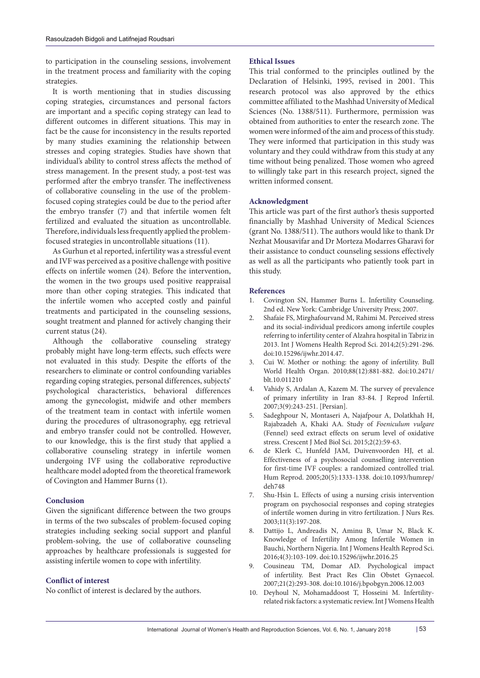to participation in the counseling sessions, involvement in the treatment process and familiarity with the coping strategies.

It is worth mentioning that in studies discussing coping strategies, circumstances and personal factors are important and a specific coping strategy can lead to different outcomes in different situations. This may in fact be the cause for inconsistency in the results reported by many studies examining the relationship between stresses and coping strategies. Studies have shown that individual's ability to control stress affects the method of stress management. In the present study, a post-test was performed after the embryo transfer. The ineffectiveness of collaborative counseling in the use of the problemfocused coping strategies could be due to the period after the embryo transfer (7) and that infertile women felt fertilized and evaluated the situation as uncontrollable. Therefore, individuals less frequently applied the problemfocused strategies in uncontrollable situations (11).

As Gurhun et al reported, infertility was a stressful event and IVF was perceived as a positive challenge with positive effects on infertile women (24). Before the intervention, the women in the two groups used positive reappraisal more than other coping strategies. This indicated that the infertile women who accepted costly and painful treatments and participated in the counseling sessions, sought treatment and planned for actively changing their current status (24).

Although the collaborative counseling strategy probably might have long-term effects, such effects were not evaluated in this study. Despite the efforts of the researchers to eliminate or control confounding variables regarding coping strategies, personal differences, subjects' psychological characteristics, behavioral differences among the gynecologist, midwife and other members of the treatment team in contact with infertile women during the procedures of ultrasonography, egg retrieval and embryo transfer could not be controlled. However, to our knowledge, this is the first study that applied a collaborative counseling strategy in infertile women undergoing IVF using the collaborative reproductive healthcare model adopted from the theoretical framework of Covington and Hammer Burns (1).

#### **Conclusion**

Given the significant difference between the two groups in terms of the two subscales of problem-focused coping strategies including seeking social support and planful problem-solving, the use of collaborative counseling approaches by healthcare professionals is suggested for assisting infertile women to cope with infertility.

#### **Conflict of interest**

No conflict of interest is declared by the authors.

#### **Ethical Issues**

This trial conformed to the principles outlined by the Declaration of Helsinki, 1995, revised in 2001. This research protocol was also approved by the ethics committee affiliated to the Mashhad University of Medical Sciences (No. 1388/511). Furthermore, permission was obtained from authorities to enter the research zone. The women were informed of the aim and process of this study. They were informed that participation in this study was voluntary and they could withdraw from this study at any time without being penalized. Those women who agreed to willingly take part in this research project, signed the written informed consent.

#### **Acknowledgment**

This article was part of the first author's thesis supported financially by Mashhad University of Medical Sciences (grant No. 1388/511). The authors would like to thank Dr Nezhat Mousavifar and Dr Morteza Modarres Gharavi for their assistance to conduct counseling sessions effectively as well as all the participants who patiently took part in this study.

#### **References**

- 1. Covington SN, Hammer Burns L. Infertility Counseling. 2nd ed. New York: Cambridge University Press; 2007.
- 2. Shafaie FS, Mirghafourvand M, Rahimi M. Perceived stress and its social-individual predicors among infertile couples referring to infertility center of Alzahra hospital in Tabriz in 2013. Int J Womens Health Reprod Sci. 2014;2(5):291-296. doi:10.15296/ijwhr.2014.47.
- 3. Cui W. Mother or nothing: the agony of infertility. Bull World Health Organ. 2010;88(12):881-882. doi:10.2471/ blt.10.011210
- 4. Vahidy S, Ardalan A, Kazem M. The survey of prevalence of primary infertility in Iran 83-84. J Reprod Infertil. 2007;3(9):243-251. [Persian].
- 5. Sadeghpour N, Montaseri A, Najafpour A, Dolatkhah H, Rajabzadeh A, Khaki AA. Study of *Foeniculum vulgare*  (Fennel) seed extract effects on serum level of oxidative stress. Crescent J Med Biol Sci. 2015;2(2):59-63.
- 6. de Klerk C, Hunfeld JAM, Duivenvoorden HJ, et al. Effectiveness of a psychosocial counselling intervention for first-time IVF couples: a randomized controlled trial. Hum Reprod. 2005;20(5):1333-1338. doi:10.1093/humrep/ deh748
- 7. Shu-Hsin L. Effects of using a nursing crisis intervention program on psychosocial responses and coping strategies of infertile women during in vitro fertilization. J Nurs Res. 2003;11(3):197-208.
- 8. Dattijo L, Andreadis N, Aminu B, Umar N, Black K. Knowledge of Infertility Among Infertile Women in Bauchi, Northern Nigeria. Int J Womens Health Reprod Sci. 2016;4(3):103-109. doi:10.15296/ijwhr.2016.25
- 9. Cousineau TM, Domar AD. Psychological impact of infertility. Best Pract Res Clin Obstet Gynaecol. 2007;21(2):293-308. doi:10.1016/j.bpobgyn.2006.12.003
- 10. Deyhoul N, Mohamaddoost T, Hosseini M. Infertilityrelated risk factors: a systematic review. Int J Womens Health